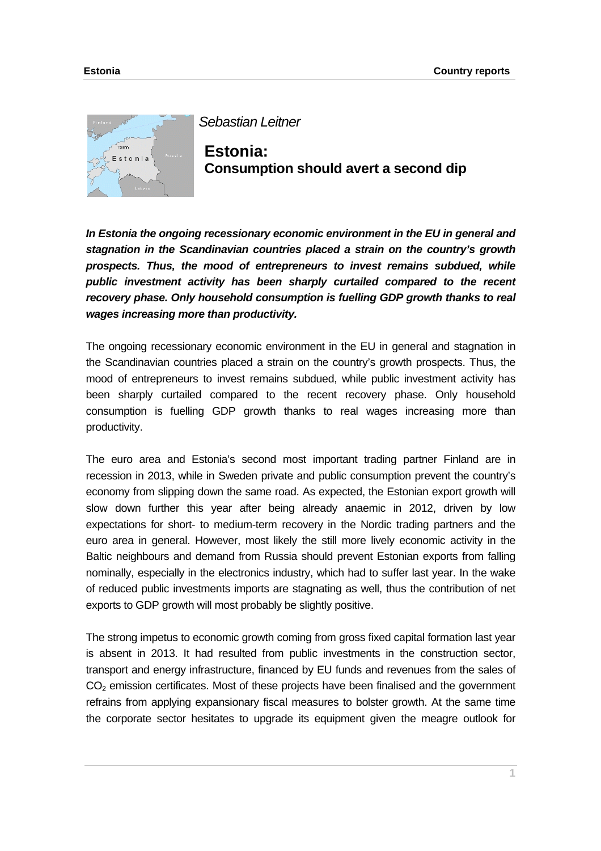

*Sebastian Leitner*

**Estonia: Consumption should avert a second dip** 

*In Estonia the ongoing recessionary economic environment in the EU in general and stagnation in the Scandinavian countries placed a strain on the country's growth prospects. Thus, the mood of entrepreneurs to invest remains subdued, while public investment activity has been sharply curtailed compared to the recent recovery phase. Only household consumption is fuelling GDP growth thanks to real wages increasing more than productivity.* 

The ongoing recessionary economic environment in the EU in general and stagnation in the Scandinavian countries placed a strain on the country's growth prospects. Thus, the mood of entrepreneurs to invest remains subdued, while public investment activity has been sharply curtailed compared to the recent recovery phase. Only household consumption is fuelling GDP growth thanks to real wages increasing more than productivity.

The euro area and Estonia's second most important trading partner Finland are in recession in 2013, while in Sweden private and public consumption prevent the country's economy from slipping down the same road. As expected, the Estonian export growth will slow down further this year after being already anaemic in 2012, driven by low expectations for short- to medium-term recovery in the Nordic trading partners and the euro area in general. However, most likely the still more lively economic activity in the Baltic neighbours and demand from Russia should prevent Estonian exports from falling nominally, especially in the electronics industry, which had to suffer last year. In the wake of reduced public investments imports are stagnating as well, thus the contribution of net exports to GDP growth will most probably be slightly positive.

The strong impetus to economic growth coming from gross fixed capital formation last year is absent in 2013. It had resulted from public investments in the construction sector, transport and energy infrastructure, financed by EU funds and revenues from the sales of  $CO<sub>2</sub>$  emission certificates. Most of these projects have been finalised and the government refrains from applying expansionary fiscal measures to bolster growth. At the same time the corporate sector hesitates to upgrade its equipment given the meagre outlook for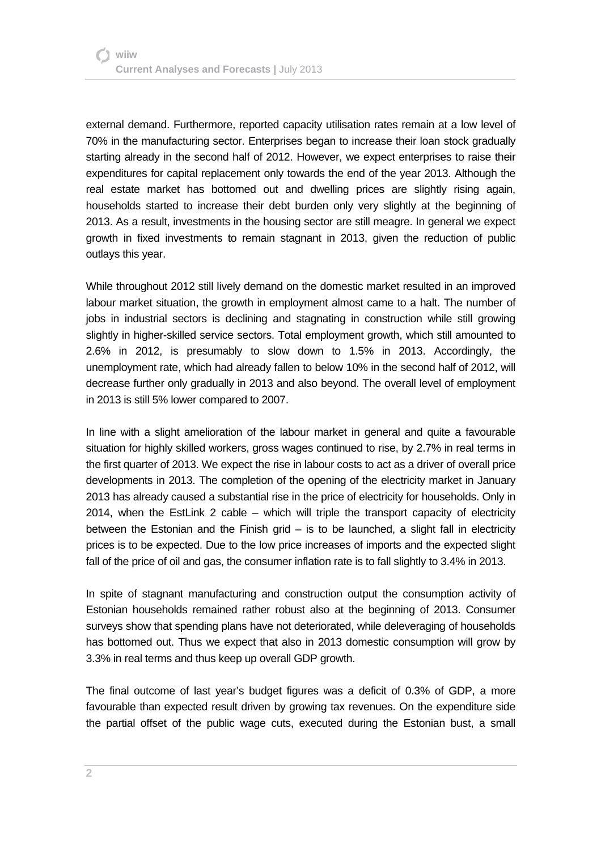external demand. Furthermore, reported capacity utilisation rates remain at a low level of 70% in the manufacturing sector. Enterprises began to increase their loan stock gradually starting already in the second half of 2012. However, we expect enterprises to raise their expenditures for capital replacement only towards the end of the year 2013. Although the real estate market has bottomed out and dwelling prices are slightly rising again, households started to increase their debt burden only very slightly at the beginning of 2013. As a result, investments in the housing sector are still meagre. In general we expect growth in fixed investments to remain stagnant in 2013, given the reduction of public outlays this year.

While throughout 2012 still lively demand on the domestic market resulted in an improved labour market situation, the growth in employment almost came to a halt. The number of jobs in industrial sectors is declining and stagnating in construction while still growing slightly in higher-skilled service sectors. Total employment growth, which still amounted to 2.6% in 2012, is presumably to slow down to 1.5% in 2013. Accordingly, the unemployment rate, which had already fallen to below 10% in the second half of 2012, will decrease further only gradually in 2013 and also beyond. The overall level of employment in 2013 is still 5% lower compared to 2007.

In line with a slight amelioration of the labour market in general and quite a favourable situation for highly skilled workers, gross wages continued to rise, by 2.7% in real terms in the first quarter of 2013. We expect the rise in labour costs to act as a driver of overall price developments in 2013. The completion of the opening of the electricity market in January 2013 has already caused a substantial rise in the price of electricity for households. Only in 2014, when the EstLink 2 cable – which will triple the transport capacity of electricity between the Estonian and the Finish grid  $-$  is to be launched, a slight fall in electricity prices is to be expected. Due to the low price increases of imports and the expected slight fall of the price of oil and gas, the consumer inflation rate is to fall slightly to 3.4% in 2013.

In spite of stagnant manufacturing and construction output the consumption activity of Estonian households remained rather robust also at the beginning of 2013. Consumer surveys show that spending plans have not deteriorated, while deleveraging of households has bottomed out. Thus we expect that also in 2013 domestic consumption will grow by 3.3% in real terms and thus keep up overall GDP growth.

The final outcome of last year's budget figures was a deficit of 0.3% of GDP, a more favourable than expected result driven by growing tax revenues. On the expenditure side the partial offset of the public wage cuts, executed during the Estonian bust, a small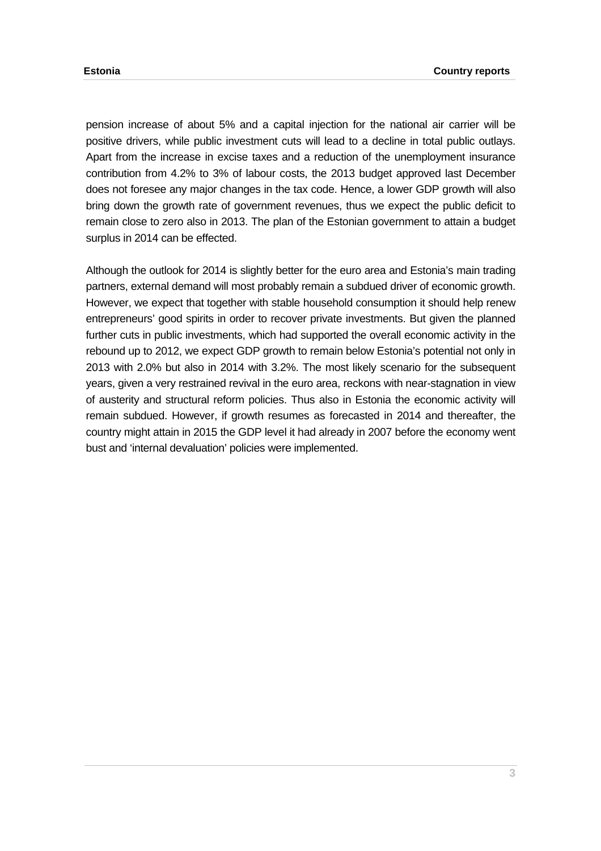pension increase of about 5% and a capital injection for the national air carrier will be positive drivers, while public investment cuts will lead to a decline in total public outlays. Apart from the increase in excise taxes and a reduction of the unemployment insurance contribution from 4.2% to 3% of labour costs, the 2013 budget approved last December does not foresee any major changes in the tax code. Hence, a lower GDP growth will also bring down the growth rate of government revenues, thus we expect the public deficit to remain close to zero also in 2013. The plan of the Estonian government to attain a budget surplus in 2014 can be effected.

Although the outlook for 2014 is slightly better for the euro area and Estonia's main trading partners, external demand will most probably remain a subdued driver of economic growth. However, we expect that together with stable household consumption it should help renew entrepreneurs' good spirits in order to recover private investments. But given the planned further cuts in public investments, which had supported the overall economic activity in the rebound up to 2012, we expect GDP growth to remain below Estonia's potential not only in 2013 with 2.0% but also in 2014 with 3.2%. The most likely scenario for the subsequent years, given a very restrained revival in the euro area, reckons with near-stagnation in view of austerity and structural reform policies. Thus also in Estonia the economic activity will remain subdued. However, if growth resumes as forecasted in 2014 and thereafter, the country might attain in 2015 the GDP level it had already in 2007 before the economy went bust and 'internal devaluation' policies were implemented.